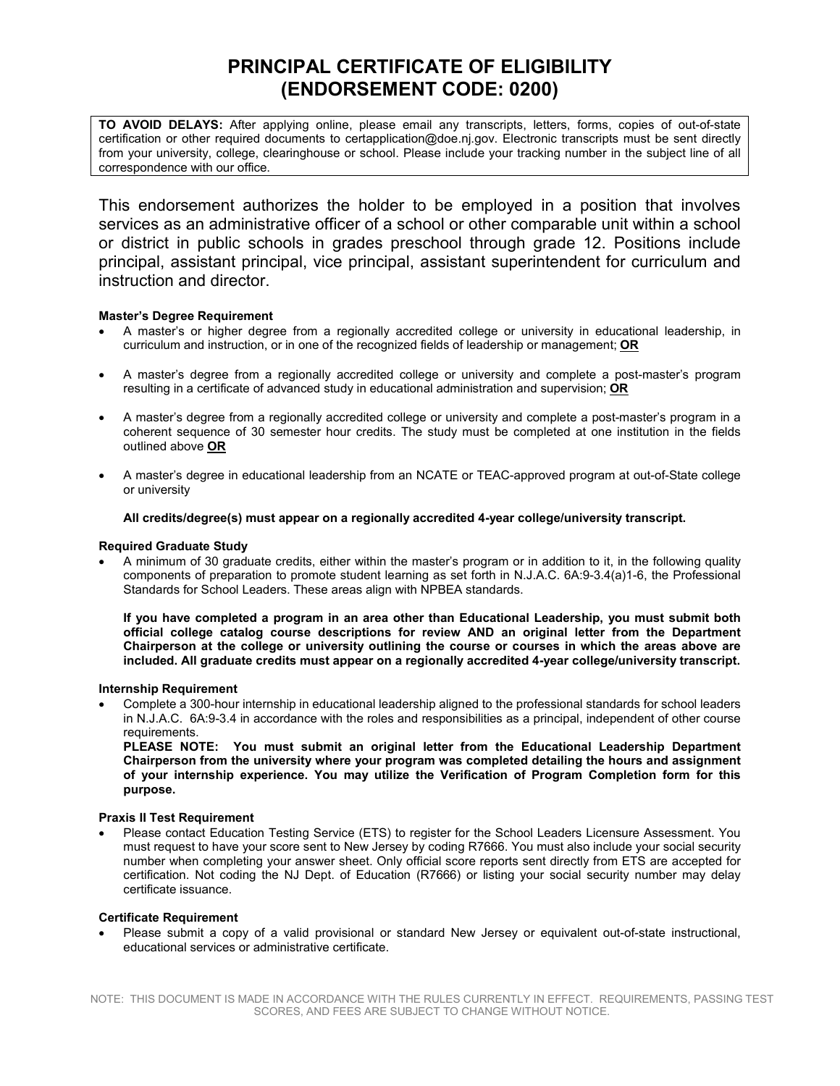# **PRINCIPAL CERTIFICATE OF ELIGIBILITY (ENDORSEMENT CODE: 0200)**

**TO AVOID DELAYS:** After applying online, please email any transcripts, letters, forms, copies of out-of-state certification or other required documents to certapplication@doe.nj.gov. Electronic transcripts must be sent directly from your university, college, clearinghouse or school. Please include your tracking number in the subject line of all correspondence with our office.

This endorsement authorizes the holder to be employed in a position that involves services as an administrative officer of a school or other comparable unit within a school or district in public schools in grades preschool through grade 12. Positions include principal, assistant principal, vice principal, assistant superintendent for curriculum and instruction and director.

## **Master's Degree Requirement**

- A master's or higher degree from a regionally accredited college or university in educational leadership, in curriculum and instruction, or in one of the recognized fields of leadership or management; **OR**
- A master's degree from a regionally accredited college or university and complete a post-master's program resulting in a certificate of advanced study in educational administration and supervision; **OR**
- A master's degree from a regionally accredited college or university and complete a post-master's program in a coherent sequence of 30 semester hour credits. The study must be completed at one institution in the fields outlined above **OR**
- A master's degree in educational leadership from an NCATE or TEAC-approved program at out-of-State college or university

## **All credits/degree(s) must appear on a regionally accredited 4-year college/university transcript.**

## **Required Graduate Study**

• A minimum of 30 graduate credits, either within the master's program or in addition to it, in the following quality components of preparation to promote student learning as set forth in N.J.A.C. 6A:9-3.4(a)1-6, the Professional Standards for School Leaders. These areas align with NPBEA standards.

**If you have completed a program in an area other than Educational Leadership, you must submit both official college catalog course descriptions for review AND an original letter from the Department Chairperson at the college or university outlining the course or courses in which the areas above are included. All graduate credits must appear on a regionally accredited 4-year college/university transcript.** 

## **Internship Requirement**

• Complete a 300-hour internship in educational leadership aligned to the professional standards for school leaders in N.J.A.C. 6A:9-3.4 in accordance with the roles and responsibilities as a principal, independent of other course requirements.

**PLEASE NOTE: You must submit an original letter from the Educational Leadership Department Chairperson from the university where your program was completed detailing the hours and assignment of your internship experience. You may utilize the [Verification of Program Completion](https://www.nj.gov/education/license/forms/college1.pdf) form for this purpose.** 

## **Praxis II Test Requirement**

• Please contact Education Testing Service (ETS) to register for the School Leaders Licensure Assessment. You must request to have your score sent to New Jersey by coding R7666. You must also include your social security number when completing your answer sheet. Only official score reports sent directly from ETS are accepted for certification. Not coding the NJ Dept. of Education (R7666) or listing your social security number may delay certificate issuance.

## **Certificate Requirement**

• Please submit a copy of a valid provisional or standard New Jersey or equivalent out-of-state instructional, educational services or administrative certificate.